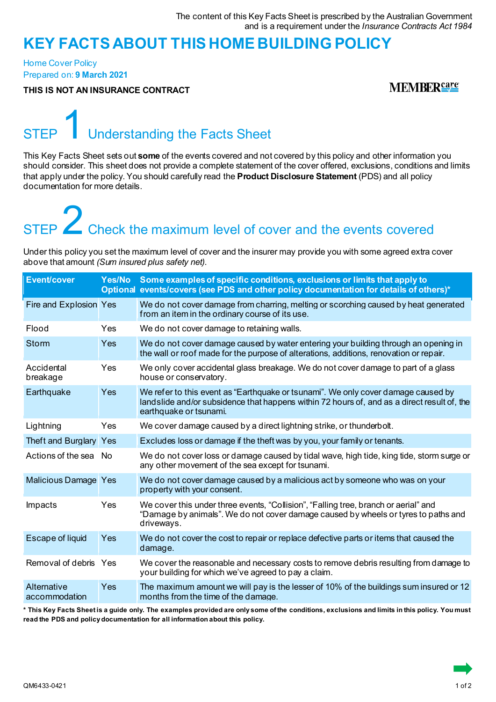### **KEY FACTS ABOUT THIS HOME BUILDING POLICY**

Home Cover Policy Prepared on: **9 March 2021**

**THIS IS NOT AN INSURANCE CONTRACT**

**MEMBERSATE** 

### Understanding the Facts Sheet

This Key Facts Sheet sets out **some** of the events covered and not covered by this policy and other information you should consider. This sheet does not provide a complete statement of the cover offered, exclusions, conditions and limits that apply under the policy. You should carefully read the **Product Disclosure Statement** (PDS) and all policy documentation for more details.

# STEP **2** Check the maximum level of cover and the events covered

Under this policy you set the maximum level of cover and the insurer may provide you with some agreed extra cover above that amount *(Sum insured plus safety net)*.

| <b>Event/cover</b>           |            | Yes/No Some examples of specific conditions, exclusions or limits that apply to<br>Optional events/covers (see PDS and other policy documentation for details of others)*                                  |
|------------------------------|------------|------------------------------------------------------------------------------------------------------------------------------------------------------------------------------------------------------------|
| Fire and Explosion Yes       |            | We do not cover damage from charring, melting or scorching caused by heat generated<br>from an item in the ordinary course of its use.                                                                     |
| Flood                        | Yes        | We do not cover damage to retaining walls.                                                                                                                                                                 |
| <b>Storm</b>                 | Yes        | We do not cover damage caused by water entering your building through an opening in<br>the wall or roof made for the purpose of alterations, additions, renovation or repair.                              |
| Accidental<br>breakage       | Yes        | We only cover accidental glass breakage. We do not cover damage to part of a glass<br>house or conservatory.                                                                                               |
| Earthquake                   | Yes        | We refer to this event as "Earthquake or tsunami". We only cover damage caused by<br>landslide and/or subsidence that happens within 72 hours of, and as a direct result of, the<br>earthquake or tsunami. |
| Lightning                    | <b>Yes</b> | We cover damage caused by a direct lightning strike, or thunderbolt.                                                                                                                                       |
| Theft and Burglary Yes       |            | Excludes loss or damage if the theft was by you, your family or tenants.                                                                                                                                   |
| Actions of the sea No        |            | We do not cover loss or damage caused by tidal wave, high tide, king tide, storm surge or<br>any other movement of the sea except for tsunami.                                                             |
| <b>Malicious Damage Yes</b>  |            | We do not cover damage caused by a malicious act by someone who was on your<br>property with your consent.                                                                                                 |
| Impacts                      | Yes        | We cover this under three events, "Collision", "Falling tree, branch or aerial" and<br>"Damage by animals". We do not cover damage caused by wheels or tyres to paths and<br>driveways.                    |
| Escape of liquid             | Yes        | We do not cover the cost to repair or replace defective parts or items that caused the<br>damage.                                                                                                          |
| Removal of debris Yes        |            | We cover the reasonable and necessary costs to remove debris resulting from damage to<br>your building for which we've agreed to pay a claim.                                                              |
| Alternative<br>accommodation | Yes        | The maximum amount we will pay is the lesser of 10% of the buildings sum insured or 12<br>months from the time of the damage.                                                                              |

**\* This Key Facts Sheet is a guide only. The examples provided are only some of the conditions, exclusions and limits in this policy. You must read the PDS and policy documentation for all information about this policy.**